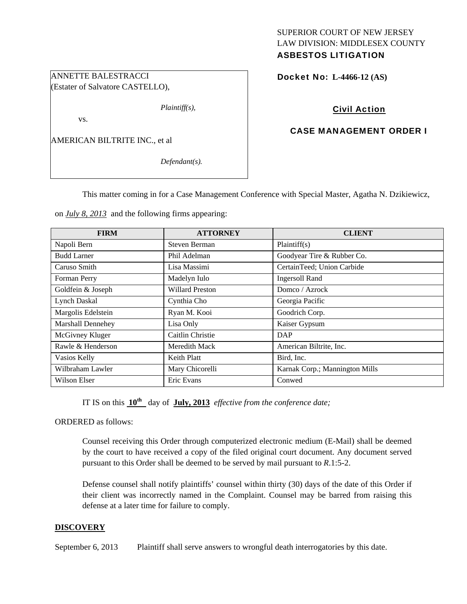# SUPERIOR COURT OF NEW JERSEY LAW DIVISION: MIDDLESEX COUNTY

# ASBESTOS LITIGATION

Docket No: **L-4466-12 (AS)** 

### Civil Action

#### CASE MANAGEMENT ORDER I

AMERICAN BILTRITE INC., et al

ANNETTE BALESTRACCI (Estater of Salvatore CASTELLO),

vs.

*Defendant(s).* 

*Plaintiff(s),* 

This matter coming in for a Case Management Conference with Special Master, Agatha N. Dzikiewicz,

on *July 8, 2013* and the following firms appearing:

| <b>FIRM</b>        | <b>ATTORNEY</b>        | <b>CLIENT</b>                  |
|--------------------|------------------------|--------------------------------|
| Napoli Bern        | Steven Berman          | Plaintiff(s)                   |
| <b>Budd Larner</b> | Phil Adelman           | Goodyear Tire & Rubber Co.     |
| Caruso Smith       | Lisa Massimi           | CertainTeed; Union Carbide     |
| Forman Perry       | Madelyn Iulo           | <b>Ingersoll Rand</b>          |
| Goldfein & Joseph  | <b>Willard Preston</b> | Domco / Azrock                 |
| Lynch Daskal       | Cynthia Cho            | Georgia Pacific                |
| Margolis Edelstein | Ryan M. Kooi           | Goodrich Corp.                 |
| Marshall Dennehey  | Lisa Only              | Kaiser Gypsum                  |
| McGivney Kluger    | Caitlin Christie       | DAP                            |
| Rawle & Henderson  | Meredith Mack          | American Biltrite, Inc.        |
| Vasios Kelly       | Keith Platt            | Bird, Inc.                     |
| Wilbraham Lawler   | Mary Chicorelli        | Karnak Corp.; Mannington Mills |
| Wilson Elser       | Eric Evans             | Conwed                         |

IT IS on this  $10^{th}$  day of July, 2013 *effective from the conference date;* 

ORDERED as follows:

Counsel receiving this Order through computerized electronic medium (E-Mail) shall be deemed by the court to have received a copy of the filed original court document. Any document served pursuant to this Order shall be deemed to be served by mail pursuant to *R*.1:5-2.

Defense counsel shall notify plaintiffs' counsel within thirty (30) days of the date of this Order if their client was incorrectly named in the Complaint. Counsel may be barred from raising this defense at a later time for failure to comply.

#### **DISCOVERY**

September 6, 2013 Plaintiff shall serve answers to wrongful death interrogatories by this date.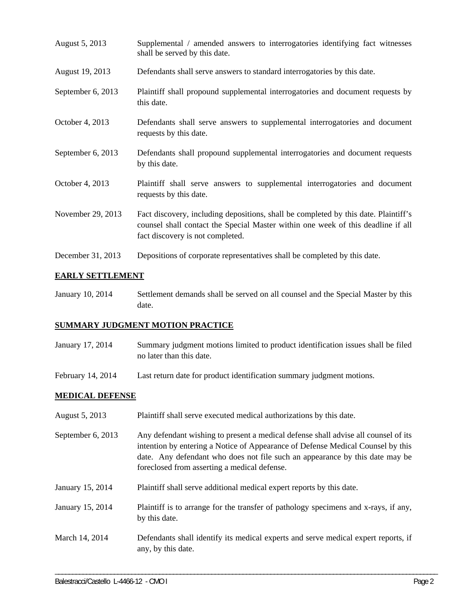- August 5, 2013 Supplemental / amended answers to interrogatories identifying fact witnesses shall be served by this date.
- August 19, 2013 Defendants shall serve answers to standard interrogatories by this date.
- September 6, 2013 Plaintiff shall propound supplemental interrogatories and document requests by this date.
- October 4, 2013 Defendants shall serve answers to supplemental interrogatories and document requests by this date.
- September 6, 2013 Defendants shall propound supplemental interrogatories and document requests by this date.
- October 4, 2013 Plaintiff shall serve answers to supplemental interrogatories and document requests by this date.
- November 29, 2013 Fact discovery, including depositions, shall be completed by this date. Plaintiff's counsel shall contact the Special Master within one week of this deadline if all fact discovery is not completed.
- December 31, 2013 Depositions of corporate representatives shall be completed by this date.

#### **EARLY SETTLEMENT**

January 10, 2014 Settlement demands shall be served on all counsel and the Special Master by this date.

#### **SUMMARY JUDGMENT MOTION PRACTICE**

- January 17, 2014 Summary judgment motions limited to product identification issues shall be filed no later than this date.
- February 14, 2014 Last return date for product identification summary judgment motions.

#### **MEDICAL DEFENSE**

- August 5, 2013 Plaintiff shall serve executed medical authorizations by this date.
- September 6, 2013 Any defendant wishing to present a medical defense shall advise all counsel of its intention by entering a Notice of Appearance of Defense Medical Counsel by this date. Any defendant who does not file such an appearance by this date may be foreclosed from asserting a medical defense.
- January 15, 2014 Plaintiff shall serve additional medical expert reports by this date.
- January 15, 2014 Plaintiff is to arrange for the transfer of pathology specimens and x-rays, if any, by this date.
- March 14, 2014 Defendants shall identify its medical experts and serve medical expert reports, if any, by this date.

\_\_\_\_\_\_\_\_\_\_\_\_\_\_\_\_\_\_\_\_\_\_\_\_\_\_\_\_\_\_\_\_\_\_\_\_\_\_\_\_\_\_\_\_\_\_\_\_\_\_\_\_\_\_\_\_\_\_\_\_\_\_\_\_\_\_\_\_\_\_\_\_\_\_\_\_\_\_\_\_\_\_\_\_\_\_\_\_\_\_\_\_\_\_\_\_\_\_\_\_\_\_\_\_\_\_\_\_\_\_